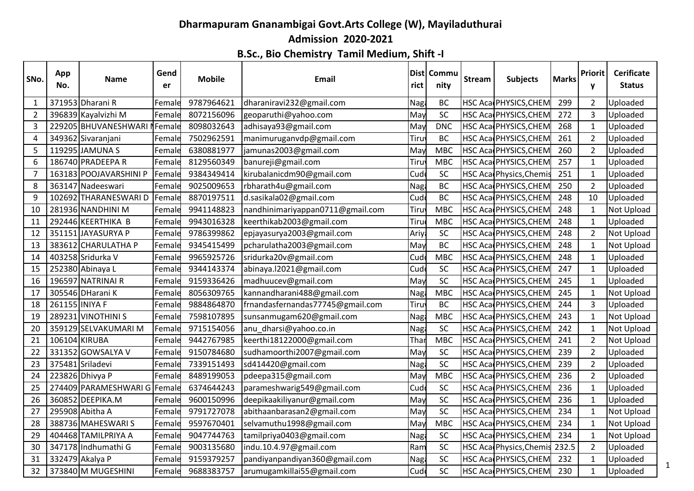## **Dharmapuram Gnanambigai Govt.Arts College (W), Mayiladuthurai Admission 2020-2021**

**B.Sc., Bio Chemistry Tamil Medium, Shift -I**

| SNo.           | App<br>No.     | <b>Name</b>                  | Gend<br>er      | <b>Mobile</b> | Email                            | rict       | Dist Commu<br>nity | <b>Stream</b> | <b>Subjects</b>         | <b>Marks</b> | <b>Priorit</b><br>y | <b>Cerificate</b><br><b>Status</b> |
|----------------|----------------|------------------------------|-----------------|---------------|----------------------------------|------------|--------------------|---------------|-------------------------|--------------|---------------------|------------------------------------|
| $\mathbf{1}$   |                | 371953 Dharani R             | Female          | 9787964621    | dharaniravi232@gmail.com         | Nag        | <b>BC</b>          |               | HSC Aca PHYSICS, CHEM   | 299          | $\overline{2}$      | Uploaded                           |
| $\overline{2}$ |                | 396839 Kayalvizhi M          | Female          | 8072156096    | geoparuthi@yahoo.com             | May        | SC                 |               | HSC Aca PHYSICS, CHEM   | 272          | 3                   | Uploaded                           |
| 3              |                | 229205 BHUVANESHWARI         | <b>N</b> Female | 8098032643    | adhisaya93@gmail.com             | May        | <b>DNC</b>         |               | HSC Aca PHYSICS, CHEM   | 268          | $\mathbf{1}$        | Uploaded                           |
| 4              |                | 349362 Sivaranjani           | Female          | 7502962591    | manimuruganvdp@gmail.com         | Tiru       | <b>BC</b>          |               | HSC Aca PHYSICS, CHEM   | 261          | $\overline{2}$      | Uploaded                           |
| 5              |                | 119295 JAMUNA S              | Female          | 6380881977    | jamunas2003@gmail.com            | May        | <b>MBC</b>         |               | HSC Aca PHYSICS, CHEM   | 260          | $\overline{2}$      | Uploaded                           |
| 6              |                | 186740 PRADEEPA R            | Female          | 8129560349    | banureji@gmail.com               | Tiru       | <b>MBC</b>         |               | HSC Aca PHYSICS, CHEM   | 257          | $\mathbf{1}$        | Uploaded                           |
| 7              |                | 163183 POOJAVARSHINI P       | Female          | 9384349414    | kirubalanicdm90@gmail.com        | Cud        | SC                 |               | HSC Aca Physics, Chemis | 251          | $\mathbf{1}$        | Uploaded                           |
| 8              |                | 363147 Nadeeswari            | Female          | 9025009653    | rbharath4u@gmail.com             | Nag        | BC                 |               | HSC Aca PHYSICS, CHEM   | 250          | $\overline{2}$      | Uploaded                           |
| 9              |                | 102692 THARANESWARI D        | Female          | 8870197511    | d.sasikala02@gmail.com           | Cud        | <b>BC</b>          |               | HSC Aca PHYSICS, CHEM   | 248          | 10                  | Uploaded                           |
| 10             |                | 281936 NANDHINI M            | Femald          | 9941148823    | nandhinimariyappan0711@gmail.com | Tiruy      | <b>MBC</b>         |               | HSC Aca PHYSICS, CHEM   | 248          | $\mathbf{1}$        | Not Upload                         |
| 11             |                | 292446 KEERTHIKA B           | Female          | 9943016328    | keerthikab2003@gmail.com         | Tiru       | <b>MBC</b>         |               | HSC Aca PHYSICS, CHEM   | 248          | $\mathbf{1}$        | Uploaded                           |
| 12             |                | 351151 JAYASURYA P           | Female          | 9786399862    | epjayasurya2003@gmail.com        | Ariy       | SC                 |               | HSC Aca PHYSICS, CHEM   | 248          | $\overline{2}$      | Not Upload                         |
| 13             |                | 383612 CHARULATHA P          | Female          | 9345415499    | pcharulatha2003@gmail.com        | May        | <b>BC</b>          |               | HSC Aca PHYSICS, CHEM   | 248          | $\mathbf{1}$        | Not Upload                         |
| 14             |                | 403258 Sridurka V            | Female          | 9965925726    | sridurka20v@gmail.com            | Cud        | <b>MBC</b>         |               | HSC Aca PHYSICS, CHEM   | 248          | $\mathbf{1}$        | Uploaded                           |
| 15             |                | 252380 Abinaya L             | Female          | 9344143374    | abinaya. 12021@gmail.com         | Cud        | SC                 |               | HSC Aca PHYSICS, CHEM   | 247          | 1                   | Uploaded                           |
| 16             |                | 196597 NATRINAI R            | Female          | 9159336426    | madhuucev@gmail.com              | May        | SC                 |               | HSC Aca PHYSICS, CHEM   | 245          | $\mathbf{1}$        | Uploaded                           |
| 17             |                | 305546 DHarani K             | Female          | 8056309765    | kannandharani488@gmail.com       | Nag        | <b>MBC</b>         |               | HSC Aca PHYSICS, CHEM   | 245          | $\mathbf{1}$        | Not Upload                         |
| 18             | 261155 INIYA F |                              | Femald          | 9884864870    | frnandasfernandas77745@gmail.com | Tiru       | <b>BC</b>          |               | HSC Aca PHYSICS, CHEM   | 244          | 3                   | Uploaded                           |
| 19             |                | 289231 VINOTHINI S           | Female          | 7598107895    | sunsanmugam620@gmail.com         | <b>Nag</b> | <b>MBC</b>         |               | HSC Aca PHYSICS, CHEM   | 243          | $\mathbf{1}$        | Not Upload                         |
| 20             |                | 359129 SELVAKUMARI M         | Female          | 9715154056    | anu_dharsi@yahoo.co.in           | Nag        | SC                 |               | HSC Aca PHYSICS, CHEM   | 242          | $\mathbf{1}$        | Not Upload                         |
| 21             | 106104 KIRUBA  |                              | Female          | 9442767985    | keerthi18122000@gmail.com        | Thai       | <b>MBC</b>         |               | HSC Aca PHYSICS, CHEM   | 241          | $\overline{2}$      | Not Upload                         |
| 22             |                | 331352 GOWSALYA V            | Female          | 9150784680    | sudhamoorthi2007@gmail.com       | May        | SC                 |               | HSC Aca PHYSICS, CHEM   | 239          | $\overline{2}$      | Uploaded                           |
| 23             |                | 375481 Sriladevi             | Female          | 7339151493    | sd414420@gmail.com               | Nag        | SC                 |               | HSC Aca PHYSICS, CHEM   | 239          | $\overline{2}$      | Uploaded                           |
| 24             |                | 223826 Dhivya P              | Female          | 8489199053    | pdeepa315@gmail.com              | May        | <b>MBC</b>         |               | HSC Aca PHYSICS, CHEM   | 236          | $\overline{2}$      | Uploaded                           |
| 25             |                | 274409 PARAMESHWARI G Female |                 | 6374644243    | parameshwarig549@gmail.com       | Cud        | SC                 |               | HSC Aca PHYSICS, CHEM   | 236          | $\mathbf{1}$        | Uploaded                           |
| 26             |                | 360852 DEEPIKA.M             | Female          | 9600150996    | deepikaakiliyanur@gmail.com      | May        | SC                 |               | HSC Aca PHYSICS, CHEM   | 236          | $\mathbf{1}$        | Uploaded                           |
| 27             |                | 295908 Abitha A              | Female          | 9791727078    | abithaanbarasan2@gmail.com       | May        | SC                 |               | HSC Aca PHYSICS, CHEM   | 234          | $\mathbf{1}$        | Not Upload                         |
| 28             |                | 388736 MAHESWARIS            | Female          | 9597670401    | selvamuthu1998@gmail.com         | May        | <b>MBC</b>         |               | HSC Aca PHYSICS, CHEM   | 234          | $\mathbf{1}$        | Not Upload                         |
| 29             |                | 404468 TAMILPRIYA A          | Female          | 9047744763    | tamilpriya0403@gmail.com         | Nag        | SC                 |               | HSC Aca PHYSICS, CHEM   | 234          | $\mathbf{1}$        | Not Upload                         |
| 30             |                | 347178 Indhumathi G          | Female          | 9003135680    | indu.10.4.97@gmail.com           | Ram        | SC                 |               | HSC Aca Physics, Chemis | 232.5        | $\overline{2}$      | Uploaded                           |
| 31             |                | 332479 Akalya P              | Female          | 9159379257    | pandiyanpandiyan360@gmail.com    | Nag        | SC                 |               | HSC Aca PHYSICS, CHEM   | 232          | $\mathbf{1}$        | Uploaded                           |
| 32             |                | 373840 M MUGESHINI           | Female          | 9688383757    | arumugamkillai55@gmail.com       | Cud        | SC                 |               | HSC Aca PHYSICS, CHEM   | 230          | $\mathbf{1}$        | Uploaded                           |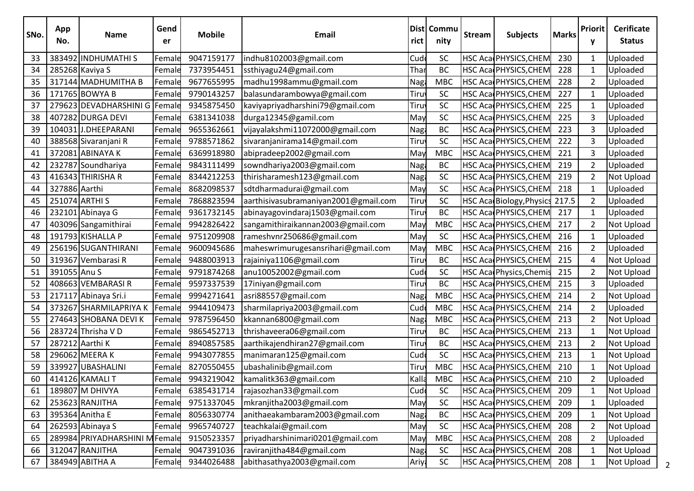| SNo. | App<br>No.    | <b>Name</b>                    | Gend<br>er | <b>Mobile</b> | Email                                | rict        | Dist   Commu<br>nity | <b>Stream</b> | <b>Subjects</b>                | <b>Marks</b> | Priorit<br>y   | <b>Cerificate</b><br><b>Status</b> |
|------|---------------|--------------------------------|------------|---------------|--------------------------------------|-------------|----------------------|---------------|--------------------------------|--------------|----------------|------------------------------------|
| 33   |               | 383492 INDHUMATHIS             | Female     | 9047159177    | indhu8102003@gmail.com               | Cud         | SC                   |               | HSC Aca PHYSICS, CHEM          | 230          | $\mathbf 1$    | Uploaded                           |
| 34   |               | 285268 Kaviya S                | Female     | 7373954451    | ssthiyagu24@gmail.com                | Thai        | <b>BC</b>            |               | HSC Aca PHYSICS, CHEM          | 228          | 1              | Uploaded                           |
| 35   |               | 317144 MADHUMITHA B            | Female     | 9677655995    | madhu1998ammu@gmail.com              | Nag         | <b>MBC</b>           |               | HSC Aca PHYSICS, CHEM          | 228          | $\overline{2}$ | Uploaded                           |
| 36   |               | 171765 BOWYA B                 | Female     | 9790143257    | balasundarambowya@gmail.com          | Tiru        | SC                   |               | HSC Aca PHYSICS, CHEM          | 227          | $\mathbf{1}$   | Uploaded                           |
| 37   |               | 279623 DEVADHARSHINI G Female  |            | 9345875450    | kaviyapriyadharshini79@gmail.com     | Tiru        | SC                   |               | HSC Aca PHYSICS, CHEM          | 225          | 1              | Uploaded                           |
| 38   |               | 407282 DURGA DEVI              | Female     | 6381341038    | durga12345@gamil.com                 | May         | SC                   |               | HSC Aca PHYSICS, CHEM          | 225          | 3              | Uploaded                           |
| 39   |               | 104031 J.DHEEPARANI            | Female     | 9655362661    | vijayalakshmi11072000@gmail.com      | Naga        | BC                   |               | HSC Aca PHYSICS, CHEM          | 223          | 3              | Uploaded                           |
| 40   |               | 388568 Sivaranjani R           | Female     | 9788571862    | sivaranjanirama14@gmail.com          | Tiru        | SC                   |               | HSC Aca PHYSICS, CHEM          | 222          | 3              | Uploaded                           |
| 41   |               | 372081 ABINAYA K               | Female     | 6369918980    | abipradeep2002@gmail.com             | May         | <b>MBC</b>           |               | HSC Aca PHYSICS, CHEM          | 221          | 3              | Uploaded                           |
| 42   |               | 232787 Soundhariya             | Female     | 9843111499    | sowndhariya2003@gmail.com            | Naga        | BC                   |               | HSC Aca PHYSICS, CHEM          | 219          | $\overline{2}$ | Uploaded                           |
| 43   |               | 416343 THIRISHA R              | Female     | 8344212253    | thirisharamesh123@gmail.com          | Nag         | SC                   |               | HSC Aca PHYSICS, CHEM          | 219          | $\overline{2}$ | Not Upload                         |
| 44   | 327886 Aarthi |                                | Female     | 8682098537    | sdtdharmadurai@gmail.com             | May         | <b>SC</b>            |               | HSC Aca PHYSICS, CHEM          | 218          | $\mathbf{1}$   | Uploaded                           |
| 45   |               | 251074 ARTHI S                 | Female     | 7868823594    | aarthisivasubramaniyan2001@gmail.com | Tiru        | <b>SC</b>            |               | HSC Aca Biology, Physics 217.5 |              | $\overline{2}$ | Uploaded                           |
| 46   |               | 232101 Abinaya G               | Female     | 9361732145    | abinayagovindaraj1503@gmail.com      | Tiru        | <b>BC</b>            |               | HSC Aca PHYSICS, CHEM          | 217          | $\mathbf{1}$   | Uploaded                           |
| 47   |               | 403096 Sangamithirai           | Female     | 9942826422    | sangamithiraikannan2003@gmail.com    | May         | <b>MBC</b>           |               | HSC Aca PHYSICS, CHEM          | 217          | $\overline{2}$ | Not Upload                         |
| 48   |               | 191793 KISHALLA P              | Female     | 9751209908    | rameshvnr250686@gmail.com            | May         | SC                   |               | HSC Aca PHYSICS, CHEM          | 216          | $\mathbf{1}$   | Uploaded                           |
| 49   |               | 256196 SUGANTHIRANI            | Female     | 9600945686    | maheswrimurugesansrihari@gmail.com   | May         | <b>MBC</b>           |               | HSC Aca PHYSICS, CHEM          | 216          | $\overline{2}$ | Uploaded                           |
| 50   |               | 319367 Vembarasi R             | Female     | 9488003913    | rajainiya1106@gmail.com              | Tiru        | BC                   |               | HSC Aca PHYSICS, CHEM          | 215          | 4              | Not Upload                         |
| 51   | 391055 Anu S  |                                | Female     | 9791874268    | anu10052002@gmail.com                | Cud         | SC                   |               | HSC Aca Physics, Chemis        | 215          | $\overline{2}$ | Not Upload                         |
| 52   |               | 408663 VEMBARASIR              | Female     | 9597337539    | 17iniyan@gmail.com                   | Tiru        | <b>BC</b>            |               | HSC Aca PHYSICS, CHEM          | 215          | 3              | Uploaded                           |
| 53   |               | 217117 Abinaya Sri.i           | Female     | 9994271641    | asri88557@gmail.com                  | Nag         | <b>MBC</b>           |               | HSC Aca PHYSICS, CHEM          | 214          | $\overline{2}$ | Not Upload                         |
| 54   |               | 373267 SHARMILAPRIYA K         | Female     | 9944109473    | sharmilapriya2003@gmail.com          | Cud         | <b>MBC</b>           |               | HSC Aca PHYSICS, CHEM          | 214          | $\overline{2}$ | Uploaded                           |
| 55   |               | 274643 SHOBANA DEVI K          | Female     | 9787596450    | kkannan6800@gmail.com                | Naga        | <b>MBC</b>           |               | HSC Aca PHYSICS, CHEM          | 213          | $\overline{2}$ | Not Upload                         |
| 56   |               | 283724 Thrisha V D             | Female     | 9865452713    | thrishaveera06@gmail.com             | Tiru        | BC                   |               | HSC Aca PHYSICS, CHEM          | 213          | $\mathbf{1}$   | Not Upload                         |
| 57   |               | 287212 Aarthi K                | Female     | 8940857585    | aarthikajendhiran27@gmail.com        | Tiru        | <b>BC</b>            |               | HSC Aca PHYSICS, CHEM          | 213          | $\overline{2}$ | Not Upload                         |
| 58   |               | 296062 MEERA K                 | Female     | 9943077855    | manimaran125@gmail.com               | Cud         | SC                   |               | HSC Aca PHYSICS, CHEM          | 213          | $\mathbf{1}$   | <b>Not Upload</b>                  |
| 59   |               | 339927 UBASHALINI              | Female     | 8270550455    | ubashalinib@gmail.com                | Tiruy       | <b>MBC</b>           |               | HSC Aca PHYSICS, CHEM          | 210          | $\mathbf{1}$   | Not Upload                         |
| 60   |               | 414126 KAMALI T                | Female     | 9943219042    | kamalitk363@gmail.com                | Kalla       | <b>MBC</b>           |               | HSC Aca PHYSICS, CHEM          | 210          | $\overline{2}$ | Uploaded                           |
| 61   |               | 189807 M DHIVYA                | Female     | 6385431714    | rajasozhan33@gmail.com               | Cud         | SC                   |               | HSC Aca PHYSICS, CHEM          | 209          | $\mathbf 1$    | Not Upload                         |
| 62   |               | 253623 RANJITHA                | Female     | 9751337045    | mkranjitha2003@gmail.com             | May         | SC                   |               | HSC Aca PHYSICS, CHEM          | 209          | 1              | Uploaded                           |
| 63   |               | 395364 Anitha E                | Female     | 8056330774    | anithaeakambaram2003@gmail.com       | Naga        | BC                   |               | HSC Aca PHYSICS, CHEM          | 209          | $\mathbf{1}$   | Not Upload                         |
| 64   |               | 262593 Abinaya S               | Female     | 9965740727    | teachkalai@gmail.com                 | May         | SC                   |               | HSC Aca PHYSICS, CHEM          | 208          | $\overline{2}$ | Not Upload                         |
| 65   |               | 289984 PRIYADHARSHINI M Female |            | 9150523357    | priyadharshinimari0201@gmail.com     | May         | <b>MBC</b>           |               | HSC Aca PHYSICS, CHEM          | 208          | $\overline{2}$ | Uploaded                           |
| 66   |               | 312047 RANJITHA                | Female     | 9047391036    | raviranjitha484@gmail.com            | <b>Nagi</b> | SC                   |               | HSC Aca PHYSICS, CHEM          | 208          | $\mathbf{1}$   | Not Upload                         |
| 67   |               | 384949 ABITHA A                | Female     | 9344026488    | abithasathya2003@gmail.com           | Ariya       | SC                   |               | HSC Aca PHYSICS, CHEM          | 208          | 1              | Not Upload                         |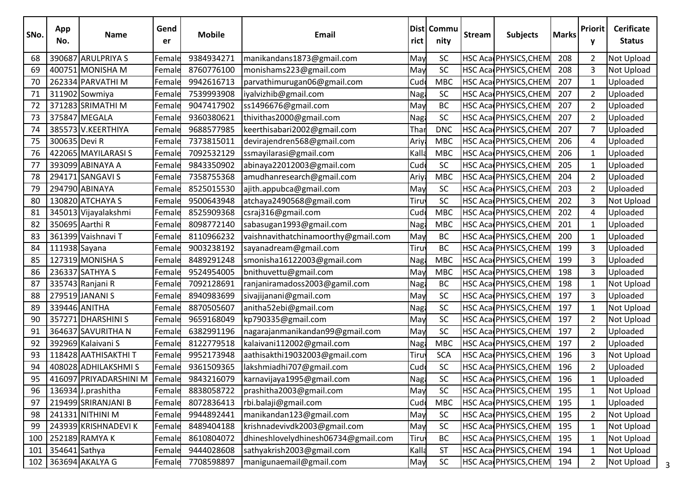| SNo.           | App<br>No.    | <b>Name</b>            | Gend<br>er | <b>Mobile</b> | Email                               | rict  | Dist Commu<br>nity | <b>Stream</b> | <b>Subjects</b>       | <b>Marks</b> | Priorit<br>y   | <b>Cerificate</b><br><b>Status</b> |
|----------------|---------------|------------------------|------------|---------------|-------------------------------------|-------|--------------------|---------------|-----------------------|--------------|----------------|------------------------------------|
| 68             |               | 390687 ARULPRIYA S     | Female     | 9384934271    | manikandans1873@gmail.com           | May   | SC                 |               | HSC Aca PHYSICS, CHEM | 208          | $\overline{2}$ | Not Upload                         |
| 69             |               | 400751 MONISHA M       | Female     | 8760776100    | monishams223@gmail.com              | May   | SC                 |               | HSC Aca PHYSICS, CHEM | 208          | 3              | Not Upload                         |
| 70             |               | 262334 PARVATHI M      | Female     | 9942616713    | parvathimurugan06@gmail.com         | Cud   | <b>MBC</b>         |               | HSC Aca PHYSICS, CHEM | 207          | $\mathbf{1}$   | Uploaded                           |
| 71             |               | 311902 Sowmiya         | Female     | 7539993908    | iyalvizhib@gmail.com                | Naga  | SC                 |               | HSC Aca PHYSICS, CHEM | 207          | $\overline{2}$ | Uploaded                           |
| 72             |               | 371283 SRIMATHI M      | Female     | 9047417902    | ss1496676@gmail.com                 | May   | <b>BC</b>          |               | HSC Aca PHYSICS, CHEM | 207          | 2              | Uploaded                           |
| 73             |               | 375847 MEGALA          | Female     | 9360380621    | thivithas2000@gmail.com             | Nagł  | SC                 |               | HSC Aca PHYSICS, CHEM | 207          | $\overline{2}$ | Uploaded                           |
| 74             |               | 385573 V.KEERTHIYA     | Female     | 9688577985    | keerthisabari2002@gmail.com         | Thai  | <b>DNC</b>         |               | HSC Aca PHYSICS, CHEM | 207          | 7              | Uploaded                           |
| 75             | 300635 Devi R |                        | Female     | 7373815011    | devirajendren568@gmail.com          | Ariy  | <b>MBC</b>         |               | HSC Aca PHYSICS, CHEM | 206          | 4              | Uploaded                           |
| 76             |               | 422065 MAYILARASI S    | Female     | 7092532129    | ssmayilarasi@gmail.com              | Kalla | <b>MBC</b>         |               | HSC Aca PHYSICS, CHEM | 206          | $\mathbf{1}$   | Uploaded                           |
| 7 <sub>1</sub> |               | 393099 ABINAYA A       | Female     | 9843350902    | abinaya22012003@gmail.com           | Cud   | SC                 |               | HSC Aca PHYSICS, CHEM | 205          | 1              | Uploaded                           |
| 78             |               | 294171 SANGAVI S       | Female     | 7358755368    | amudhanresearch@gmail.com           | Ariya | <b>MBC</b>         |               | HSC Aca PHYSICS, CHEM | 204          | $\overline{2}$ | Uploaded                           |
| 79             |               | 294790 ABINAYA         | Female     | 8525015530    | ajith.appubca@gmail.com             | May   | SC                 |               | HSC Aca PHYSICS, CHEM | 203          | $\overline{2}$ | Uploaded                           |
| 80             |               | 130820 ATCHAYA S       | Female     | 9500643948    | atchaya2490568@gmail.com            | Tiru  | SC                 |               | HSC Aca PHYSICS, CHEM | 202          | 3              | Not Upload                         |
| 81             |               | 345013 Vijayalakshmi   | Female     | 8525909368    | csraj316@gmail.com                  | Cud   | <b>MBC</b>         |               | HSC Aca PHYSICS, CHEM | 202          | 4              | Uploaded                           |
| 82             |               | 350695 Aarthi R        | Female     | 8098772140    | sabasugan1993@gmail.com             | Nag   | <b>MBC</b>         |               | HSC Aca PHYSICS, CHEM | 201          | 1              | Uploaded                           |
| 83             |               | 361399 Vaishnavi T     | Female     | 8110966232    | vaishnavithatchinamoorthy@gmail.com | May   | <b>BC</b>          |               | HSC Aca PHYSICS, CHEM | 200          | $\mathbf{1}$   | Uploaded                           |
| 84             | 111938 Sayana |                        | Female     | 9003238192    | sayanadream@gmail.com               | Tiru  | <b>BC</b>          |               | HSC Aca PHYSICS, CHEM | 199          | 3              | Uploaded                           |
| 85             |               | 127319 MONISHA S       | Female     | 8489291248    | smonisha16122003@gmail.com          | Nag   | <b>MBC</b>         |               | HSC Aca PHYSICS, CHEM | 199          | 3              | Uploaded                           |
| 86             |               | 236337 SATHYA S        | Female     | 9524954005    | bnithuvettu@gmail.com               | May   | <b>MBC</b>         |               | HSC Aca PHYSICS, CHEM | 198          | 3              | Uploaded                           |
| 87             |               | 335743 Ranjani R       | Female     | 7092128691    | ranjaniramadoss2003@gamil.com       | Naga  | BC                 |               | HSC Aca PHYSICS, CHEM | 198          | 1              | Not Upload                         |
| 88             |               | 279519 JANANI S        | Female     | 8940983699    | sivajijanani@gmail.com              | May   | SC                 |               | HSC Aca PHYSICS, CHEM | 197          | 3              | Uploaded                           |
| 89             |               | 339446 ANITHA          | Female     | 8870505607    | anitha52ebi@gmail.com               | Nag   | SC                 |               | HSC Aca PHYSICS, CHEM | 197          | $\mathbf{1}$   | Not Upload                         |
| 90             |               | 357271 DHARSHINI S     | Female     | 9659168049    | kp790335@gmail.com                  | May   | SC                 |               | HSC Aca PHYSICS, CHEM | 197          | $\overline{2}$ | Not Upload                         |
| 91             |               | 364637 SAVURITHA N     | Female     | 6382991196    | nagarajanmanikandan99@gmail.com     | May   | SC                 |               | HSC Aca PHYSICS, CHEM | 197          | $\overline{2}$ | Uploaded                           |
| 92             |               | 392969 Kalaivani S     | Female     | 8122779518    | kalaivani112002@gmail.com           | Nag   | <b>MBC</b>         |               | HSC Aca PHYSICS, CHEM | 197          | $\overline{2}$ | Uploaded                           |
| 93             |               | 118428 AATHISAKTHI T   | Female     | 9952173948    | aathisakthi19032003@gmail.com       | Tiru  | <b>SCA</b>         |               | HSC Aca PHYSICS, CHEM | 196          | 3              | Not Upload                         |
| 94             |               | 408028 ADHILAKSHMIS    | Female     | 9361509365    | lakshmiadhi707@gmail.com            | Cud   | SC                 |               | HSC Aca PHYSICS, CHEM | 196          | $\overline{2}$ | Uploaded                           |
| 95             |               | 416097 PRIYADARSHINI M | Female     | 9843216079    | karnavijaya1995@gmail.com           | Naga  | SC                 |               | HSC Aca PHYSICS, CHEM | 196          | $\mathbf{1}$   | Uploaded                           |
| 96             |               | 136934 J.prashitha     | Female     | 8838058722    | prashitha2003@gmail.com             | May   | <b>SC</b>          |               | HSC Aca PHYSICS, CHEM | 195          | $\mathbf 1$    | Not Upload                         |
| 97             |               | 219499 SRIRANJANI B    | Female     | 8072836413    | rbi.balaji@gmail.com                | Cud   | <b>MBC</b>         |               | HSC Aca PHYSICS, CHEM | 195          | 1              | Uploaded                           |
| 98             |               | 241331 NITHINI M       | Female     | 9944892441    | manikandan123@gmail.com             | May   | SC                 |               | HSC Aca PHYSICS, CHEM | 195          | $\overline{2}$ | Not Upload                         |
| 99             |               | 243939 KRISHNADEVI K   | Female     | 8489404188    | krishnadevivdk2003@gmail.com        | May   | SC                 |               | HSC Aca PHYSICS, CHEM | 195          | $\mathbf{1}$   | Not Upload                         |
| 100            |               | 252189 RAMYAK          | Female     | 8610804072    | dhineshlovelydhinesh06734@gmail.com | Tiru  | BC                 |               | HSC Aca PHYSICS, CHEM | 195          | $\mathbf{1}$   | Not Upload                         |
| 101            | 354641 Sathya |                        | Female     | 9444028608    | sathyakrish2003@gmail.com           | Kalla | <b>ST</b>          |               | HSC Aca PHYSICS, CHEM | 194          | $\mathbf{1}$   | Not Upload                         |
| 102            |               | 363694 AKALYA G        | Female     | 7708598897    | manigunaemail@gmail.com             | May   | <b>SC</b>          |               | HSC Aca PHYSICS, CHEM | 194          | 2              | Not Upload                         |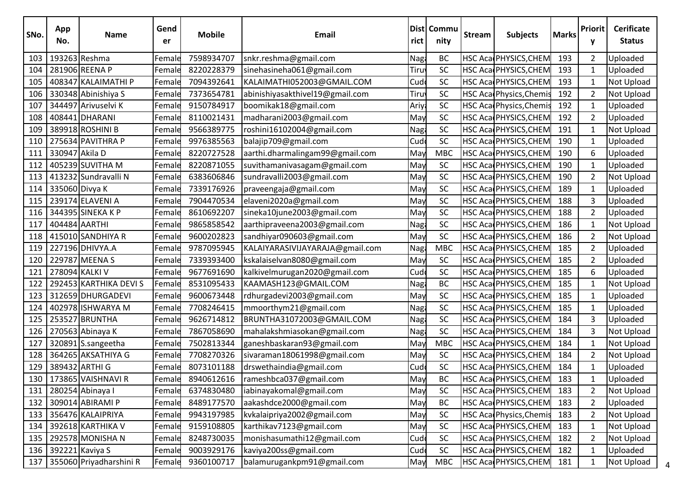| SNo. | App<br>No.     | <b>Name</b>             | Gend<br>er | <b>Mobile</b> | Email                           | rict  | Dist   Commu<br>nity | <b>Stream</b> | <b>Subjects</b>         | <b>Marks</b> | <b>Priorit</b><br>٧ | <b>Cerificate</b><br><b>Status</b> |
|------|----------------|-------------------------|------------|---------------|---------------------------------|-------|----------------------|---------------|-------------------------|--------------|---------------------|------------------------------------|
| 103  |                | 193263 Reshma           | Female     | 7598934707    | snkr.reshma@gmail.com           | Naga  | BC                   |               | HSC Aca PHYSICS, CHEM   | 193          | $\overline{2}$      | Uploaded                           |
| 104  |                | 281906 REENA P          | Female     | 8220228379    | sinehasineha061@gmail.com       | Tiru  | SC                   |               | HSC Aca PHYSICS, CHEM   | 193          | $\mathbf{1}$        | Uploaded                           |
| 105  |                | 408347 KALAIMATHI P     | Female     | 7094392641    | KALAIMATHI052003@GMAIL.COM      | Cud   | SC                   |               | HSC Aca PHYSICS, CHEM   | 193          | 1                   | Not Upload                         |
| 106  |                | 330348 Abinishiya S     | Female     | 7373654781    | abinishiyasakthivel19@gmail.com | Tiru  | SC                   |               | HSC Aca Physics, Chemis | 192          | $\overline{2}$      | Not Upload                         |
| 107  |                | 344497 Arivuselvi K     | Female     | 9150784917    | boomikak18@gmail.com            | Ariya | SC                   |               | HSC Aca Physics, Chemis | 192          | 1                   | Uploaded                           |
| 108  |                | 408441 DHARANI          | Female     | 8110021431    | madharani2003@gmail.com         | May   | SC                   |               | HSC Aca PHYSICS, CHEM   | 192          | $\overline{2}$      | Uploaded                           |
| 109  |                | 389918 ROSHINI B        | Female     | 9566389775    | roshini16102004@gmail.com       | Naga  | <b>SC</b>            |               | HSC Aca PHYSICS, CHEM   | 191          | 1                   | Not Upload                         |
| 110  |                | 275634 PAVITHRA P       | Female     | 9976385563    | balajip709@gmail.com            | Cud   | SC                   |               | HSC Aca PHYSICS, CHEM   | 190          | 1                   | Uploaded                           |
| 111  | 330947 Akila D |                         | Female     | 8220727528    | aarthi.dharmalingam99@gmail.com | May   | <b>MBC</b>           |               | HSC Aca PHYSICS, CHEM   | 190          | 6                   | Uploaded                           |
| 112  |                | 405239 SUVITHA M        | Female     | 8220871055    | suvithamanivasagam@gmail.com    | May   | SC                   |               | HSC Aca PHYSICS, CHEM   | 190          | 1                   | Uploaded                           |
| 113  |                | 413232 Sundravalli N    | Female     | 6383606846    | sundravalli2003@gmail.com       | May   | SC                   |               | HSC Aca PHYSICS, CHEM   | 190          | $\overline{2}$      | Not Upload                         |
| 114  | 335060 Divya K |                         | Female     | 7339176926    | praveengaja@gmail.com           | May   | <b>SC</b>            |               | HSC Aca PHYSICS, CHEM   | 189          | 1                   | Uploaded                           |
| 115  |                | 239174 ELAVENI A        | Female     | 7904470534    | elaveni2020a@gmail.com          | May   | SC                   |               | HSC Aca PHYSICS, CHEM   | 188          | 3                   | Uploaded                           |
| 116  |                | 344395 SINEKA K P       | Female     | 8610692207    | sineka10june2003@gmail.com      | May   | SC                   |               | HSC Aca PHYSICS, CHEM   | 188          | $\overline{2}$      | Uploaded                           |
| 117  | 404484 AARTHI  |                         | Female     | 9865858542    | aarthipraveena2003@gmail.com    | Nag   | SC                   |               | HSC Aca PHYSICS, CHEM   | 186          | 1                   | Not Upload                         |
| 118  |                | 415010 SANDHIYA R       | Female     | 9600202823    | sandhiyar090603@gmail.com       | May   | SC                   |               | HSC Aca PHYSICS, CHEM   | 186          | $\overline{2}$      | <b>Not Upload</b>                  |
| 119  |                | 227196 DHIVYA.A         | Female     | 9787095945    | KALAIYARASIVIJAYARAJA@gmail.com | Naga  | <b>MBC</b>           |               | HSC Aca PHYSICS, CHEM   | 185          | $\overline{2}$      | Uploaded                           |
| 120  |                | 229787 MEENA S          | Female     | 7339393400    | kskalaiselvan8080@gmail.com     | May   | SC                   |               | HSC Aca PHYSICS, CHEM   | 185          | $\overline{2}$      | Uploaded                           |
| 121  | 278094 KALKI V |                         | Female     | 9677691690    | kalkivelmurugan2020@gmail.com   | Cud   | SC                   |               | HSC Aca PHYSICS, CHEM   | 185          | 6                   | Uploaded                           |
| 122  |                | 292453 KARTHIKA DEVI S  | Female     | 8531095433    | KAAMASH123@GMAIL.COM            | Nag   | <b>BC</b>            |               | HSC Aca PHYSICS, CHEM   | 185          | 1                   | Not Upload                         |
| 123  |                | 312659 DHURGADEVI       | Female     | 9600673448    | rdhurgadevi2003@gmail.com       | May   | SC                   |               | HSC Aca PHYSICS, CHEM   | 185          | $\mathbf{1}$        | Uploaded                           |
| 124  |                | 402978 ISHWARYA M       | Female     | 7708246415    | mmoorthym21@gmail.com           | Naga  | <b>SC</b>            |               | HSC Aca PHYSICS, CHEM   | 185          | 1                   | Uploaded                           |
| 125  |                | 253527 BRUNTHA          | Female     | 9626714812    | BRUNTHA31072003@GMAIL.COM       | Naga  | SC                   |               | HSC Aca PHYSICS, CHEM   | 184          | 3                   | Uploaded                           |
| 126  |                | 270563 Abinaya K        | Female     | 7867058690    | mahalakshmiasokan@gmail.com     | Naga  | SC                   |               | HSC Aca PHYSICS, CHEM   | 184          | 3                   | Not Upload                         |
| 127  |                | 320891 S.sangeetha      | Female     | 7502813344    | ganeshbaskaran93@gmail.com      | May   | <b>MBC</b>           |               | HSC Aca PHYSICS, CHEM   | 184          | 1                   | Not Upload                         |
| 128  |                | 364265 AKSATHIYA G      | Female     | 7708270326    | sivaraman18061998@gmail.com     | May   | SC                   |               | HSC Aca PHYSICS, CHEM   | 184          | $\overline{2}$      | Not Upload                         |
| 129  |                | 389432 ARTHI G          | Female     | 8073101188    | drswethaindia@gmail.com         | Cud   | SC                   |               | HSC Aca PHYSICS, CHEM   | 184          | 1                   | Uploaded                           |
| 130  |                | 173865 VAISHNAVI R      | Female     | 8940612616    | rameshbca037@gmail.com          | May   | <b>BC</b>            |               | HSC Aca PHYSICS, CHEM   | 183          | $\mathbf{1}$        | Uploaded                           |
| 131  |                | 280254 Abinaya I        | Female     | 6374830480    | iabinayakomal@gmail.com         | May   | SC                   |               | HSC Aca PHYSICS, CHEM   | 183          | 2                   | Not Upload                         |
| 132  |                | 309014 ABIRAMI P        | Female     | 8489177570    | aakashdce2000@gmail.com         | May   | BC                   |               | HSC Aca PHYSICS, CHEM   | 183          | 2                   | Uploaded                           |
| 133  |                | 356476 KALAIPRIYA       | Female     | 9943197985    | kvkalaipriya2002@gmail.com      | May   | SC                   |               | HSC Aca Physics, Chemis | 183          | $\overline{2}$      | Not Upload                         |
| 134  |                | 392618 KARTHIKA V       | Female     | 9159108805    | karthikav7123@gmail.com         | May   | <b>SC</b>            |               | HSC Aca PHYSICS, CHEM   | 183          | $\mathbf{1}$        | Not Upload                         |
| 135  |                | 292578 MONISHA N        | Female     | 8248730035    | monishasumathi12@gmail.com      | Cud   | SC                   |               | HSC Aca PHYSICS, CHEM   | 182          | 2                   | Not Upload                         |
| 136  |                | 392221 Kaviya S         | Female     | 9003929176    | kaviya200ss@gmail.com           | Cud   | SC                   |               | HSC Aca PHYSICS, CHEM   | 182          | $\mathbf{1}$        | Uploaded                           |
| 137  |                | 355060 Priyadharshini R | Female     | 9360100717    | balamurugankpm91@gmail.com      | May   | <b>MBC</b>           |               | HSC Aca PHYSICS, CHEM   | 181          | 1                   | Not Upload                         |